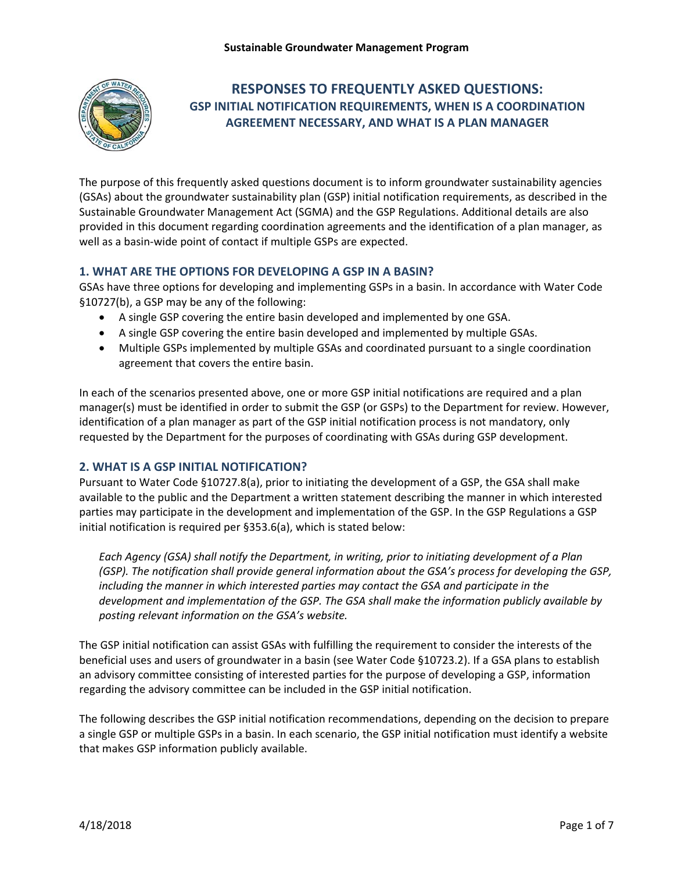

# **RESPONSES TO FREQUENTLY ASKED QUESTIONS: GSP INITIAL NOTIFICATION REQUIREMENTS, WHEN IS A COORDINATION AGREEMENT NECESSARY, AND WHAT IS A PLAN MANAGER**

 The purpose of this frequently asked questions document is to inform groundwater sustainability agencies (GSAs) about the groundwater sustainability plan (GSP) initial notification requirements, as described in the Sustainable Groundwater Management Act (SGMA) and the GSP Regulations. Additional details are also provided in this document regarding coordination agreements and the identification of a plan manager, as well as a basin‐wide point of contact if multiple GSPs are expected.

# **1. WHAT ARE THE OPTIONS FOR DEVELOPING A GSP IN A BASIN?**

 GSAs have three options for developing and implementing GSPs in a basin. In accordance with Water Code §10727(b), a GSP may be any of the following:

- A single GSP covering the entire basin developed and implemented by one GSA.
- A single GSP covering the entire basin developed and implemented by multiple GSAs.
- Multiple GSPs implemented by multiple GSAs and coordinated pursuant to a single coordination agreement that covers the entire basin.

 manager(s) must be identified in order to submit the GSP (or GSPs) to the Department for review. However, requested by the Department for the purposes of coordinating with GSAs during GSP development. In each of the scenarios presented above, one or more GSP initial notifications are required and a plan identification of a plan manager as part of the GSP initial notification process is not mandatory, only

# **2. WHAT IS A GSP INITIAL NOTIFICATION?**

Pursuant to Water Code §10727.8(a), prior to initiating the development of a GSP, the GSA shall make available to the public and the Department a written statement describing the manner in which interested parties may participate in the development and implementation of the GSP. In the GSP Regulations a GSP initial notification is required per §353.6(a), which is stated below:

 *Each Agency (GSA) shall notify the Department, in writing, prior to initiating development of a Plan (GSP). The notification shall provide general information about the GSA's process for developing the GSP, including the manner in which interested parties may contact the GSA and participate in the development and implementation of the GSP. The GSA shall make the information publicly available by posting relevant information on the GSA's website.* 

 regarding the advisory committee can be included in the GSP initial notification. The GSP initial notification can assist GSAs with fulfilling the requirement to consider the interests of the beneficial uses and users of groundwater in a basin (see Water Code §10723.2). If a GSA plans to establish an advisory committee consisting of interested parties for the purpose of developing a GSP, information

The following describes the GSP initial notification recommendations, depending on the decision to prepare a single GSP or multiple GSPs in a basin. In each scenario, the GSP initial notification must identify a website that makes GSP information publicly available.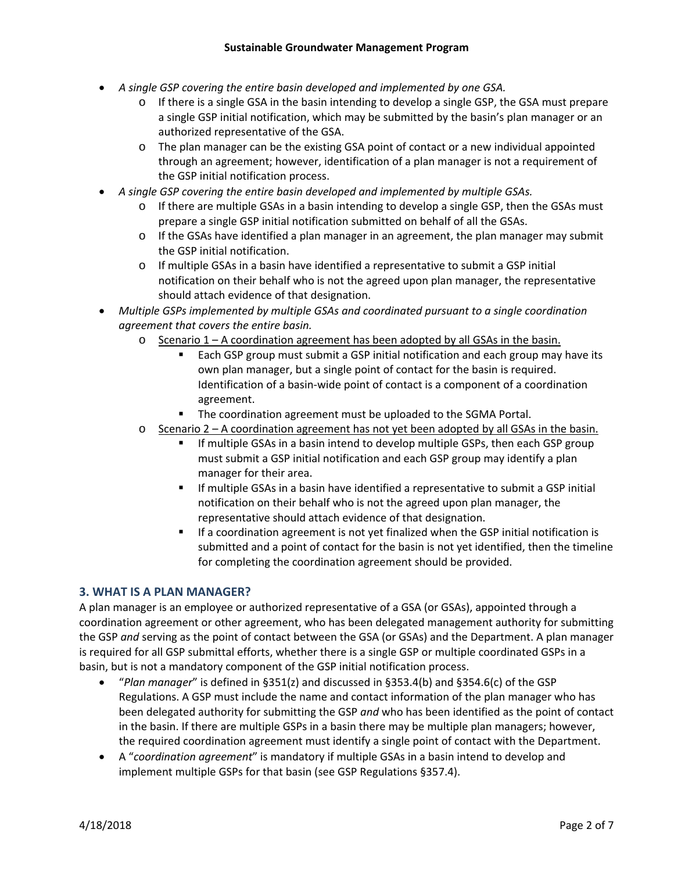- *A single GSP covering the entire basin developed and implemented by one GSA.* 
	- o If there is a single GSA in the basin intending to develop a single GSP, the GSA must prepare a single GSP initial notification, which may be submitted by the basin's plan manager or an authorized representative of the GSA.
	- $\circ$  The plan manager can be the existing GSA point of contact or a new individual appointed through an agreement; however, identification of a plan manager is not a requirement of the GSP initial notification process.
- *A single GSP covering the entire basin developed and implemented by multiple GSAs.* 
	- o If there are multiple GSAs in a basin intending to develop a single GSP, then the GSAs must prepare a single GSP initial notification submitted on behalf of all the GSAs.
	- $\circ$  If the GSAs have identified a plan manager in an agreement, the plan manager may submit the GSP initial notification.
	- o If multiple GSAs in a basin have identified a representative to submit a GSP initial notification on their behalf who is not the agreed upon plan manager, the representative should attach evidence of that designation.
- *Multiple GSPs implemented by multiple GSAs and coordinated pursuant to a single coordination agreement that covers the entire basin.*
	- $\circ$  Scenario 1 A coordination agreement has been adopted by all GSAs in the basin.
		- Each GSP group must submit a GSP initial notification and each group may have its own plan manager, but a single point of contact for the basin is required. Identification of a basin‐wide point of contact is a component of a coordination agreement.
		- The coordination agreement must be uploaded to the SGMA Portal.
	- o Scenario 2 A coordination agreement has not yet been adopted by all GSAs in the basin.
		- If multiple GSAs in a basin intend to develop multiple GSPs, then each GSP group must submit a GSP initial notification and each GSP group may identify a plan manager for their area.
		- If multiple GSAs in a basin have identified a representative to submit a GSP initial notification on their behalf who is not the agreed upon plan manager, the representative should attach evidence of that designation.
		- If a coordination agreement is not yet finalized when the GSP initial notification is submitted and a point of contact for the basin is not yet identified, then the timeline for completing the coordination agreement should be provided.

## **3. WHAT IS A PLAN MANAGER?**

 A plan manager is an employee or authorized representative of a GSA (or GSAs), appointed through a coordination agreement or other agreement, who has been delegated management authority for submitting the GSP *and* serving as the point of contact between the GSA (or GSAs) and the Department. A plan manager is required for all GSP submittal efforts, whether there is a single GSP or multiple coordinated GSPs in a basin, but is not a mandatory component of the GSP initial notification process.

- "*Plan manager*" is defined in §351(z) and discussed in §353.4(b) and §354.6(c) of the GSP Regulations. A GSP must include the name and contact information of the plan manager who has been delegated authority for submitting the GSP *and* who has been identified as the point of contact in the basin. If there are multiple GSPs in a basin there may be multiple plan managers; however, the required coordination agreement must identify a single point of contact with the Department.
- A "*coordination agreement*" is mandatory if multiple GSAs in a basin intend to develop and implement multiple GSPs for that basin (see GSP Regulations §357.4).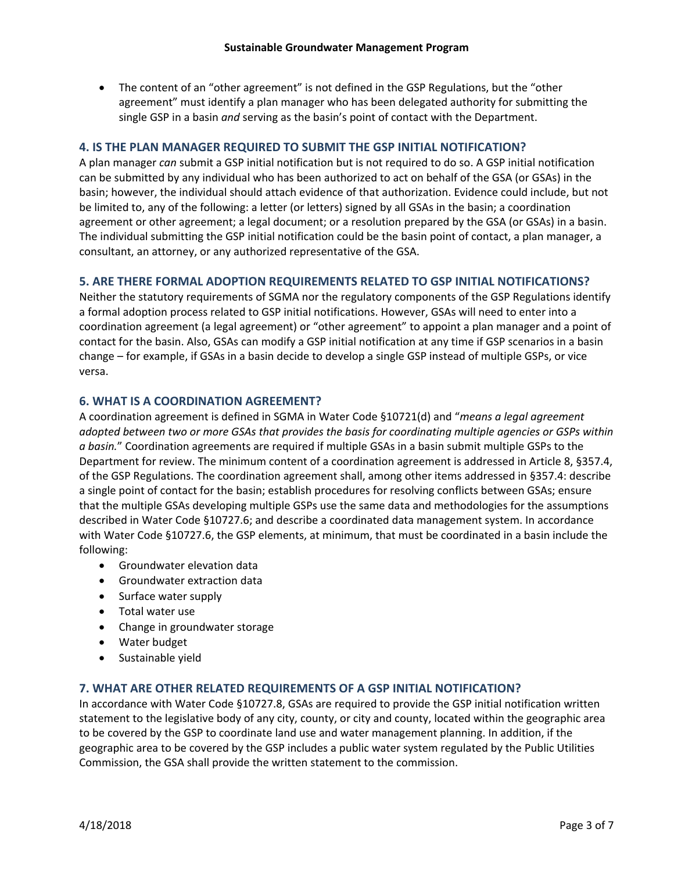The content of an "other agreement" is not defined in the GSP Regulations, but the "other single GSP in a basin *and* serving as the basin's point of contact with the Department. agreement" must identify a plan manager who has been delegated authority for submitting the

## **4. IS THE PLAN MANAGER REQUIRED TO SUBMIT THE GSP INITIAL NOTIFICATION?**

 can be submitted by any individual who has been authorized to act on behalf of the GSA (or GSAs) in the basin; however, the individual should attach evidence of that authorization. Evidence could include, but not be limited to, any of the following: a letter (or letters) signed by all GSAs in the basin; a coordination A plan manager *can* submit a GSP initial notification but is not required to do so. A GSP initial notification agreement or other agreement; a legal document; or a resolution prepared by the GSA (or GSAs) in a basin. The individual submitting the GSP initial notification could be the basin point of contact, a plan manager, a consultant, an attorney, or any authorized representative of the GSA.

## **5. ARE THERE FORMAL ADOPTION REQUIREMENTS RELATED TO GSP INITIAL NOTIFICATIONS?**

 change – for example, if GSAs in a basin decide to develop a single GSP instead of multiple GSPs, or vice Neither the statutory requirements of SGMA nor the regulatory components of the GSP Regulations identify a formal adoption process related to GSP initial notifications. However, GSAs will need to enter into a coordination agreement (a legal agreement) or "other agreement" to appoint a plan manager and a point of contact for the basin. Also, GSAs can modify a GSP initial notification at any time if GSP scenarios in a basin versa.

## **6. WHAT IS A COORDINATION AGREEMENT?**

 *adopted between two or more GSAs that provides the basis for coordinating multiple agencies or GSPs within a basin.*" Coordination agreements are required if multiple GSAs in a basin submit multiple GSPs to the Department for review. The minimum content of a coordination agreement is addressed in Article 8, §357.4, described in Water Code §10727.6; and describe a coordinated data management system. In accordance A coordination agreement is defined in SGMA in Water Code §10721(d) and "*means a legal agreement*  of the GSP Regulations. The coordination agreement shall, among other items addressed in §357.4: describe a single point of contact for the basin; establish procedures for resolving conflicts between GSAs; ensure that the multiple GSAs developing multiple GSPs use the same data and methodologies for the assumptions with Water Code §10727.6, the GSP elements, at minimum, that must be coordinated in a basin include the following:

- Groundwater elevation data
- Groundwater extraction data
- Surface water supply
- Total water use
- Change in groundwater storage
- Water budget
- Sustainable yield

## **7. WHAT ARE OTHER RELATED REQUIREMENTS OF A GSP INITIAL NOTIFICATION?**

 Commission, the GSA shall provide the written statement to the commission. In accordance with Water Code §10727.8, GSAs are required to provide the GSP initial notification written statement to the legislative body of any city, county, or city and county, located within the geographic area to be covered by the GSP to coordinate land use and water management planning. In addition, if the geographic area to be covered by the GSP includes a public water system regulated by the Public Utilities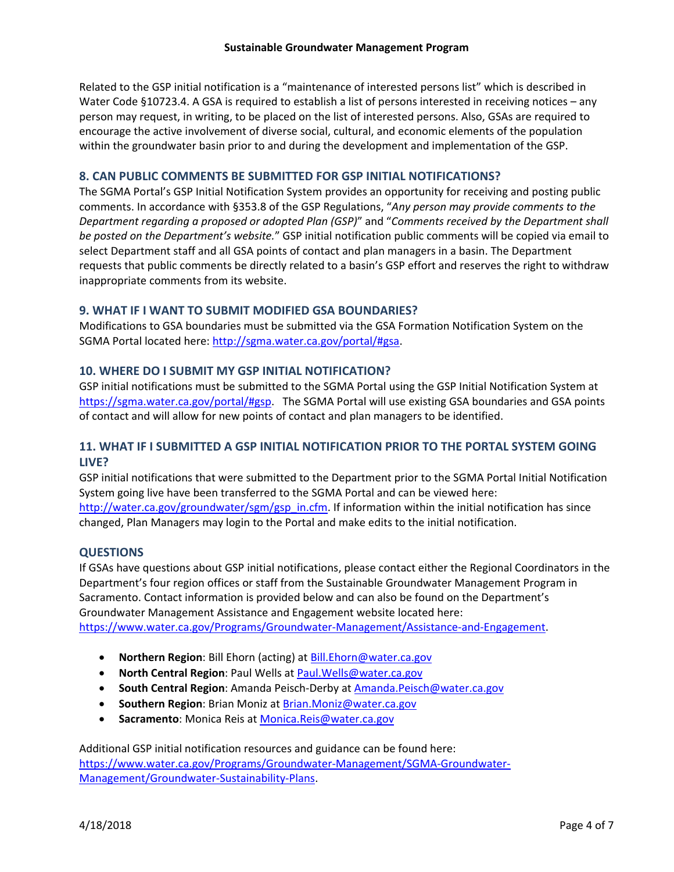Related to the GSP initial notification is a "maintenance of interested persons list" which is described in Water Code §10723.4. A GSA is required to establish a list of persons interested in receiving notices – any person may request, in writing, to be placed on the list of interested persons. Also, GSAs are required to encourage the active involvement of diverse social, cultural, and economic elements of the population within the groundwater basin prior to and during the development and implementation of the GSP.

### **8. CAN PUBLIC COMMENTS BE SUBMITTED FOR GSP INITIAL NOTIFICATIONS?**

The SGMA Portal's GSP Initial Notification System provides an opportunity for receiving and posting public comments. In accordance with §353.8 of the GSP Regulations, "*Any person may provide comments to the Department regarding a proposed or adopted Plan (GSP)*" and "*Comments received by the Department shall be posted on the Department's website.*" GSP initial notification public comments will be copied via email to select Department staff and all GSA points of contact and plan managers in a basin. The Department requests that public comments be directly related to a basin's GSP effort and reserves the right to withdraw inappropriate comments from its website.

### **9. WHAT IF I WANT TO SUBMIT MODIFIED GSA BOUNDARIES?**

Modifications to GSA boundaries must be submitted via the GSA Formation Notification System on the SGMA Portal located here: <http://sgma.water.ca.gov/portal/#gsa>.

## **10. WHERE DO I SUBMIT MY GSP INITIAL NOTIFICATION?**

 GSP initial notifications must be submitted to the SGMA Portal using the GSP Initial Notification System at of contact and will allow for new points of contact and plan managers to be identified. [https://sgma.water.ca.gov/portal/#gsp.](https://sgma.water.ca.gov/portal/#gsp) The SGMA Portal will use existing GSA boundaries and GSA points

## **11. WHAT IF I SUBMITTED A GSP INITIAL NOTIFICATION PRIOR TO THE PORTAL SYSTEM GOING LIVE?**

 GSP initial notifications that were submitted to the Department prior to the SGMA Portal Initial Notification System going live have been transferred to the SGMA Portal and can be viewed here: [http://water.ca.gov/groundwater/sgm/gsp\\_in.cfm.](http://water.ca.gov/groundwater/sgm/gsp_in.cfm) If information within the initial notification has since changed, Plan Managers may login to the Portal and make edits to the initial notification.

## **QUESTIONS**

If GSAs have questions about GSP initial notifications, please contact either the Regional Coordinators in the Department's four region offices or staff from the Sustainable Groundwater Management Program in Sacramento. Contact information is provided below and can also be found on the Department's Groundwater Management Assistance and Engagement website located here: https://www.water.ca.gov/Programs/Groundwater-Management/Assistance-and-Engagement.

- **Northern Region**: Bill Ehorn (acting) at **Bill.Ehorn@water.ca.gov**
- **North Central Region**: Paul Wells at **Paul. Wells@water.ca.gov**
- **South Central Region**: Amanda Peisch-Derby at **[Amanda.Peisch@water.ca.gov](mailto:Amanda.Peisch@water.ca.gov)**
- **Southern Region**: Brian Moniz at **Brian.Moniz@water.ca.gov**
- **Sacramento:** Monica Reis at **Monica.Reis@water.ca.gov**

Additional GSP initial notification resources and guidance can be found here: [https://www.water.ca.gov/Programs/Groundwater‐Management/SGMA‐Groundwater‐](https://www.water.ca.gov/Programs/Groundwater-Management/SGMA-Groundwater) Management/Groundwater‐Sustainability‐Plans.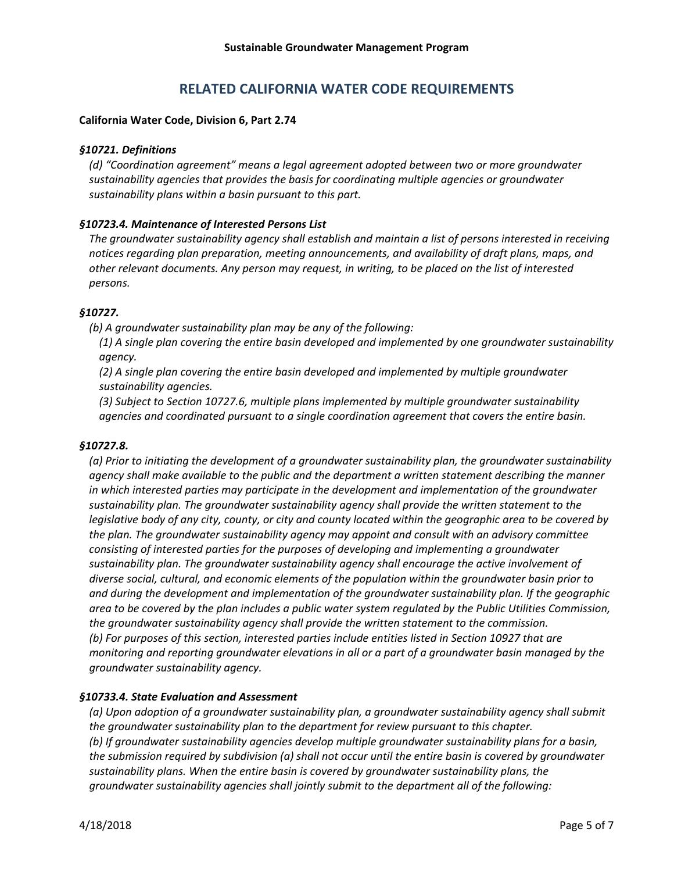# **RELATED CALIFORNIA WATER CODE REQUIREMENTS**

### **California Water Code, Division 6, Part 2.74**

#### *§10721. Definitions*

*(d) "Coordination agreement" means a legal agreement adopted between two or more groundwater sustainability agencies that provides the basis for coordinating multiple agencies or groundwater sustainability plans within a basin pursuant to this part.* 

## *§10723.4. Maintenance of Interested Persons List*

*The groundwater sustainability agency shall establish and maintain a list of persons interested in receiving notices regarding plan preparation, meeting announcements, and availability of draft plans, maps, and other relevant documents. Any person may request, in writing, to be placed on the list of interested persons.* 

### *§10727.*

 *(b) A groundwater sustainability plan may be any of the following:*

*(1) A single plan covering the entire basin developed and implemented by one groundwater sustainability agency.* 

*(2) A single plan covering the entire basin developed and implemented by multiple groundwater sustainability agencies.* 

*(3) Subject to Section 10727.6, multiple plans implemented by multiple groundwater sustainability agencies and coordinated pursuant to a single coordination agreement that covers the entire basin.*

#### *§10727.8.*

 *sustainability plan. The groundwater sustainability agency shall provide the written statement to the legislative body of any city, county, or city and county located within the geographic area to be covered by (a) Prior to initiating the development of a groundwater sustainability plan, the groundwater sustainability agency shall make available to the public and the department a written statement describing the manner in which interested parties may participate in the development and implementation of the groundwater the plan. The groundwater sustainability agency may appoint and consult with an advisory committee consisting of interested parties for the purposes of developing and implementing a groundwater sustainability plan. The groundwater sustainability agency shall encourage the active involvement of diverse social, cultural, and economic elements of the population within the groundwater basin prior to and during the development and implementation of the groundwater sustainability plan. If the geographic area to be covered by the plan includes a public water system regulated by the Public Utilities Commission, the groundwater sustainability agency shall provide the written statement to the commission. (b) For purposes of this section, interested parties include entities listed in Section 10927 that are monitoring and reporting groundwater elevations in all or a part of a groundwater basin managed by the groundwater sustainability agency.* 

## *§10733.4. State Evaluation and Assessment*

*(a) Upon adoption of a groundwater sustainability plan, a groundwater sustainability agency shall submit the groundwater sustainability plan to the department for review pursuant to this chapter. (b) If groundwater sustainability agencies develop multiple groundwater sustainability plans for a basin, the submission required by subdivision (a) shall not occur until the entire basin is covered by groundwater sustainability plans. When the entire basin is covered by groundwater sustainability plans, the groundwater sustainability agencies shall jointly submit to the department all of the following:*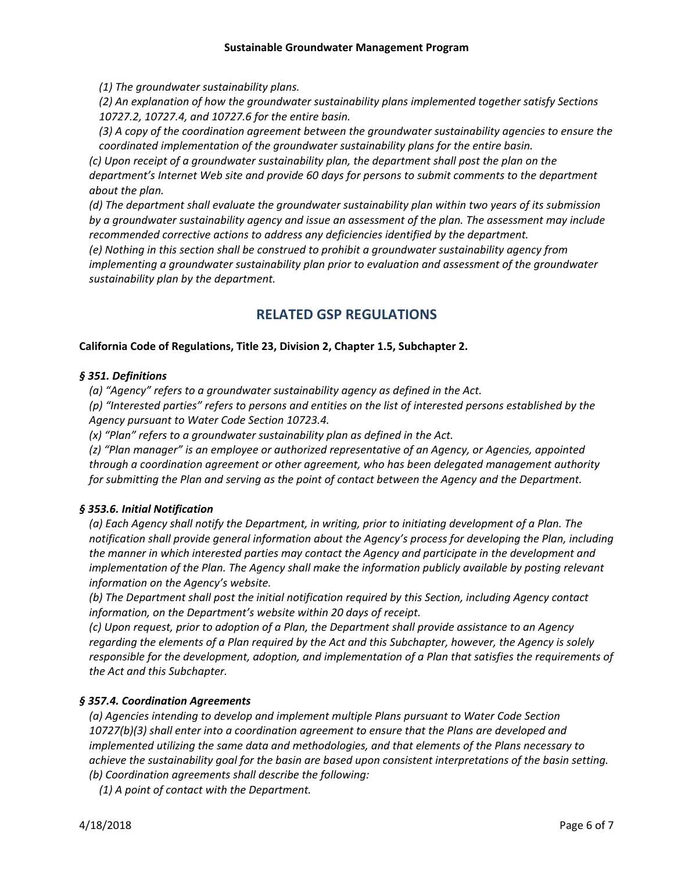*(1) The groundwater sustainability plans.* 

*(2) An explanation of how the groundwater sustainability plans implemented together satisfy Sections 10727.2, 10727.4, and 10727.6 for the entire basin.* 

*(3) A copy of the coordination agreement between the groundwater sustainability agencies to ensure the coordinated implementation of the groundwater sustainability plans for the entire basin.*

*(c) Upon receipt of a groundwater sustainability plan, the department shall post the plan on the department's Internet Web site and provide 60 days for persons to submit comments to the department about the plan.* 

*(d) The department shall evaluate the groundwater sustainability plan within two years of its submission by a groundwater sustainability agency and issue an assessment of the plan. The assessment may include recommended corrective actions to address any deficiencies identified by the department.* 

*(e) Nothing in this section shall be construed to prohibit a groundwater sustainability agency from implementing a groundwater sustainability plan prior to evaluation and assessment of the groundwater sustainability plan by the department.* 

# **RELATED GSP REGULATIONS**

# **California Code of Regulations, Title 23, Division 2, Chapter 1.5, Subchapter 2.**

## *§ 351. Definitions*

*(a) "Agency" refers to a groundwater sustainability agency as defined in the Act.*

*(p) "Interested parties" refers to persons and entities on the list of interested persons established by the Agency pursuant to Water Code Section 10723.4.* 

*(x) "Plan" refers to a groundwater sustainability plan as defined in the Act.*

*(z) "Plan manager" is an employee or authorized representative of an Agency, or Agencies, appointed through a coordination agreement or other agreement, who has been delegated management authority for submitting the Plan and serving as the point of contact between the Agency and the Department.* 

# *§ 353.6. Initial Notification*

*(a) Each Agency shall notify the Department, in writing, prior to initiating development of a Plan. The notification shall provide general information about the Agency's process for developing the Plan, including the manner in which interested parties may contact the Agency and participate in the development and implementation of the Plan. The Agency shall make the information publicly available by posting relevant information on the Agency's website.* 

*(b) The Department shall post the initial notification required by this Section, including Agency contact information, on the Department's website within 20 days of receipt.*

*(c) Upon request, prior to adoption of a Plan, the Department shall provide assistance to an Agency regarding the elements of a Plan required by the Act and this Subchapter, however, the Agency is solely responsible for the development, adoption, and implementation of a Plan that satisfies the requirements of the Act and this Subchapter.* 

## *§ 357.4. Coordination Agreements*

 *(a) Agencies intending to develop and implement multiple Plans pursuant to Water Code Section 10727(b)(3) shall enter into a coordination agreement to ensure that the Plans are developed and implemented utilizing the same data and methodologies, and that elements of the Plans necessary to achieve the sustainability goal for the basin are based upon consistent interpretations of the basin setting. (b) Coordination agreements shall describe the following:*

*(1) A point of contact with the Department.*